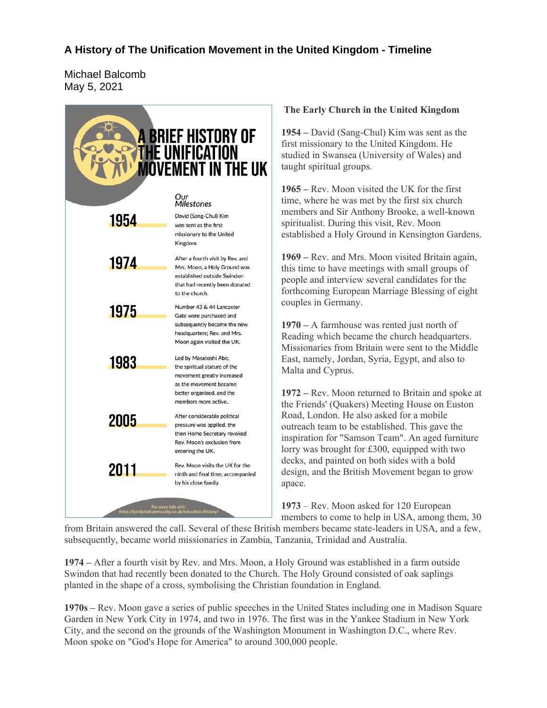## **A History of The Unification Movement in the United Kingdom - Timeline**

Michael Balcomb May 5, 2021



## **The Early Church in the United Kingdom**

**1954 –** David (Sang-Chul) Kim was sent as the first missionary to the United Kingdom. He studied in Swansea (University of Wales) and taught spiritual groups.

**1965 –** Rev. Moon visited the UK for the first time, where he was met by the first six church members and Sir Anthony Brooke, a well-known spiritualist. During this visit, Rev. Moon established a Holy Ground in Kensington Gardens.

**1969 –** Rev. and Mrs. Moon visited Britain again, this time to have meetings with small groups of people and interview several candidates for the forthcoming European Marriage Blessing of eight couples in Germany.

**1970 –** A farmhouse was rented just north of Reading which became the church headquarters. Missionaries from Britain were sent to the Middle East, namely, Jordan, Syria, Egypt, and also to Malta and Cyprus.

**1972** *–* Rev. Moon returned to Britain and spoke at the Friends' (Quakers) Meeting House on Euston Road, London. He also asked for a mobile outreach team to be established. This gave the inspiration for "Samson Team". An aged furniture lorry was brought for £300, equipped with two decks, and painted on both sides with a bold design, and the British Movement began to grow apace.

**1973** – Rev. Moon asked for 120 European members to come to help in USA, among them, 30

from Britain answered the call. Several of these British members became state-leaders in USA, and a few, subsequently, became world missionaries in Zambia, Tanzania, Trinidad and Australia.

**1974 –** After a fourth visit by Rev. and Mrs. Moon, a Holy Ground was established in a farm outside Swindon that had recently been donated to the Church. The Holy Ground consisted of oak saplings planted in the shape of a cross, symbolising the Christian foundation in England.

**1970s –** Rev. Moon gave a series of public speeches in the United States including one in Madison Square Garden in New York City in 1974, and two in 1976. The first was in the Yankee Stadium in New York City, and the second on the grounds of the Washington Monument in Washington D.C., where Rev. Moon spoke on "God's Hope for America" to around 300,000 people.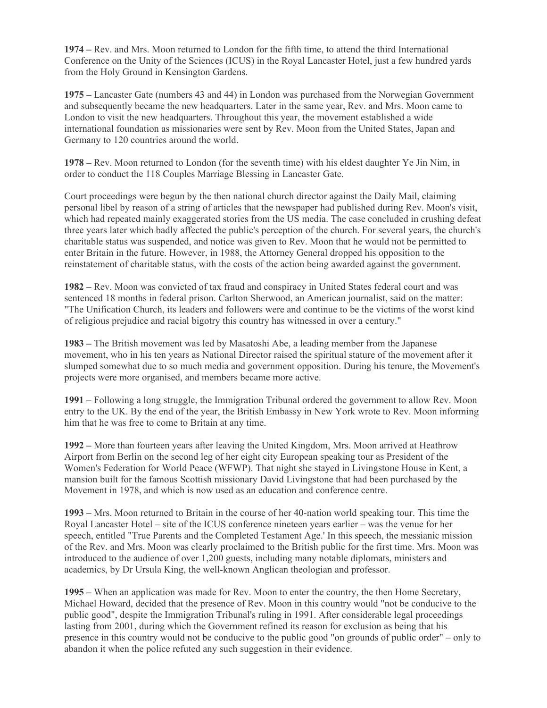**1974 –** Rev. and Mrs. Moon returned to London for the fifth time, to attend the third International Conference on the Unity of the Sciences (ICUS) in the Royal Lancaster Hotel, just a few hundred yards from the Holy Ground in Kensington Gardens.

**1975 –** Lancaster Gate (numbers 43 and 44) in London was purchased from the Norwegian Government and subsequently became the new headquarters. Later in the same year, Rev. and Mrs. Moon came to London to visit the new headquarters. Throughout this year, the movement established a wide international foundation as missionaries were sent by Rev. Moon from the United States, Japan and Germany to 120 countries around the world.

**1978 –** Rev. Moon returned to London (for the seventh time) with his eldest daughter Ye Jin Nim, in order to conduct the 118 Couples Marriage Blessing in Lancaster Gate.

Court proceedings were begun by the then national church director against the Daily Mail, claiming personal libel by reason of a string of articles that the newspaper had published during Rev. Moon's visit, which had repeated mainly exaggerated stories from the US media. The case concluded in crushing defeat three years later which badly affected the public's perception of the church. For several years, the church's charitable status was suspended, and notice was given to Rev. Moon that he would not be permitted to enter Britain in the future. However, in 1988, the Attorney General dropped his opposition to the reinstatement of charitable status, with the costs of the action being awarded against the government.

**1982 –** Rev. Moon was convicted of tax fraud and conspiracy in United States federal court and was sentenced 18 months in federal prison. Carlton Sherwood, an American journalist, said on the matter: "The Unification Church, its leaders and followers were and continue to be the victims of the worst kind of religious prejudice and racial bigotry this country has witnessed in over a century."

**1983 –** The British movement was led by Masatoshi Abe, a leading member from the Japanese movement, who in his ten years as National Director raised the spiritual stature of the movement after it slumped somewhat due to so much media and government opposition. During his tenure, the Movement's projects were more organised, and members became more active.

**1991 –** Following a long struggle, the Immigration Tribunal ordered the government to allow Rev. Moon entry to the UK. By the end of the year, the British Embassy in New York wrote to Rev. Moon informing him that he was free to come to Britain at any time.

**1992 –** More than fourteen years after leaving the United Kingdom, Mrs. Moon arrived at Heathrow Airport from Berlin on the second leg of her eight city European speaking tour as President of the Women's Federation for World Peace (WFWP). That night she stayed in Livingstone House in Kent, a mansion built for the famous Scottish missionary David Livingstone that had been purchased by the Movement in 1978, and which is now used as an education and conference centre.

**1993 –** Mrs. Moon returned to Britain in the course of her 40-nation world speaking tour. This time the Royal Lancaster Hotel – site of the ICUS conference nineteen years earlier – was the venue for her speech, entitled "True Parents and the Completed Testament Age.' In this speech, the messianic mission of the Rev. and Mrs. Moon was clearly proclaimed to the British public for the first time. Mrs. Moon was introduced to the audience of over 1,200 guests, including many notable diplomats, ministers and academics, by Dr Ursula King, the well-known Anglican theologian and professor.

**1995 –** When an application was made for Rev. Moon to enter the country, the then Home Secretary, Michael Howard, decided that the presence of Rev. Moon in this country would "not be conducive to the public good", despite the Immigration Tribunal's ruling in 1991. After considerable legal proceedings lasting from 2001, during which the Government refined its reason for exclusion as being that his presence in this country would not be conducive to the public good "on grounds of public order" – only to abandon it when the police refuted any such suggestion in their evidence.